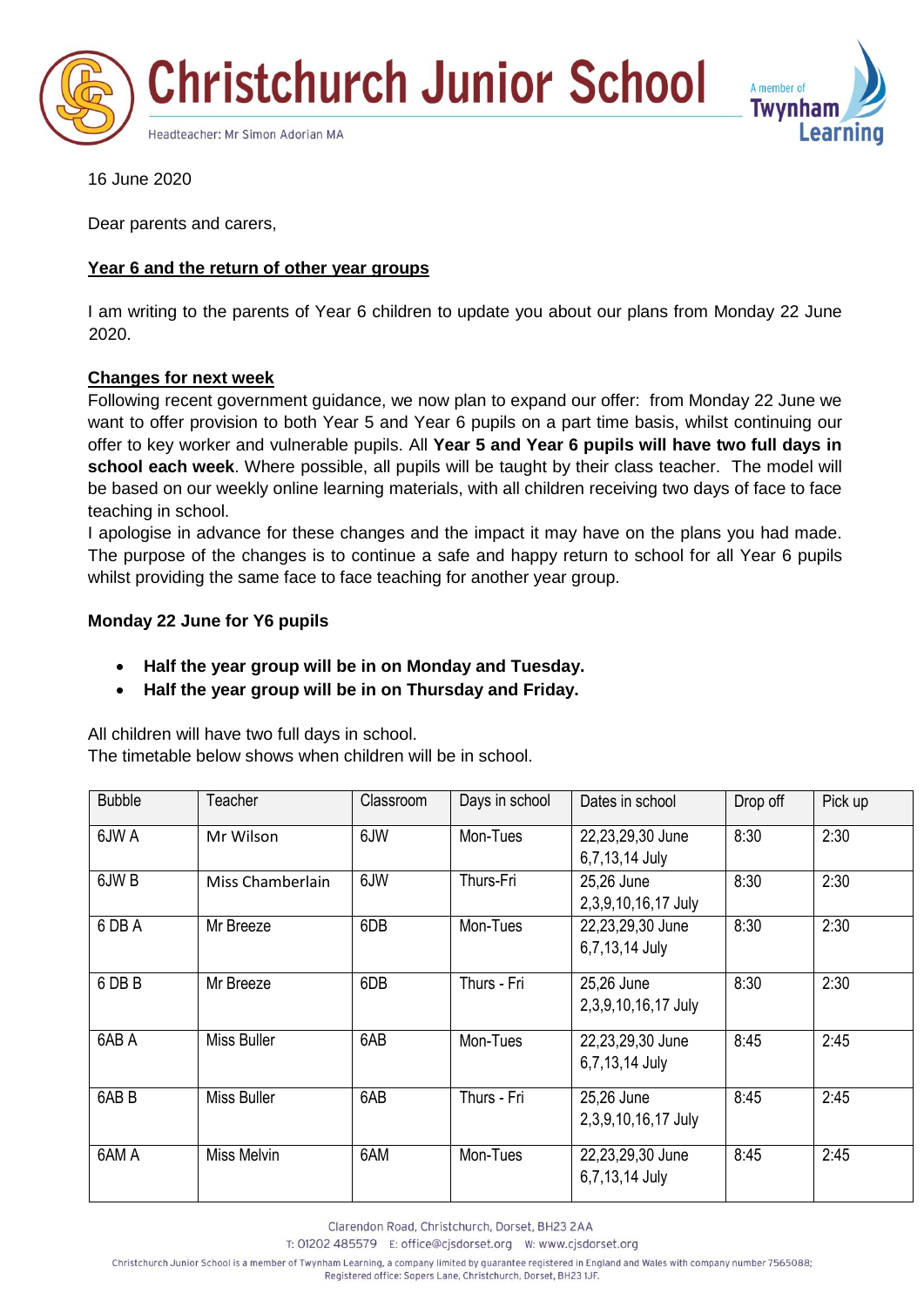



16 June 2020

Dear parents and carers,

# **Year 6 and the return of other year groups**

I am writing to the parents of Year 6 children to update you about our plans from Monday 22 June 2020.

## **Changes for next week**

Following recent government guidance, we now plan to expand our offer: from Monday 22 June we want to offer provision to both Year 5 and Year 6 pupils on a part time basis, whilst continuing our offer to key worker and vulnerable pupils. All **Year 5 and Year 6 pupils will have two full days in school each week**. Where possible, all pupils will be taught by their class teacher. The model will be based on our weekly online learning materials, with all children receiving two days of face to face teaching in school.

I apologise in advance for these changes and the impact it may have on the plans you had made. The purpose of the changes is to continue a safe and happy return to school for all Year 6 pupils whilst providing the same face to face teaching for another year group.

## **Monday 22 June for Y6 pupils**

- **Half the year group will be in on Monday and Tuesday.**
- **Half the year group will be in on Thursday and Friday.**

All children will have two full days in school.

The timetable below shows when children will be in school.

| <b>Bubble</b>    | Teacher            | Classroom | Days in school | Dates in school                    | Drop off | Pick up |
|------------------|--------------------|-----------|----------------|------------------------------------|----------|---------|
| 6JW A            | Mr Wilson          | 6JW       | Mon-Tues       | 22,23,29,30 June<br>6,7,13,14 July | 8:30     | 2:30    |
| 6JW <sub>B</sub> | Miss Chamberlain   | 6JW       | Thurs-Fri      | 25,26 June<br>2,3,9,10,16,17 July  | 8:30     | 2:30    |
| 6 DB A           | Mr Breeze          | 6DB       | Mon-Tues       | 22,23,29,30 June<br>6,7,13,14 July | 8:30     | 2:30    |
| 6 DB B           | Mr Breeze          | 6DB       | Thurs - Fri    | 25,26 June<br>2,3,9,10,16,17 July  | 8:30     | 2:30    |
| 6AB A            | <b>Miss Buller</b> | 6AB       | Mon-Tues       | 22,23,29,30 June<br>6,7,13,14 July | 8:45     | 2:45    |
| 6AB <sub>B</sub> | Miss Buller        | 6AB       | Thurs - Fri    | 25,26 June<br>2,3,9,10,16,17 July  | 8:45     | 2:45    |
| 6AM A            | Miss Melvin        | 6AM       | Mon-Tues       | 22,23,29,30 June<br>6,7,13,14 July | 8:45     | 2:45    |

Clarendon Road, Christchurch, Dorset, BH23 2AA

T: 01202 485579 E: office@cjsdorset.org W: www.cjsdorset.org

Christchurch Junior School is a member of Twynham Learning, a company limited by guarantee registered in England and Wales with company number 7565088;

Registered office: Sopers Lane, Christchurch, Dorset, BH23 1JF.